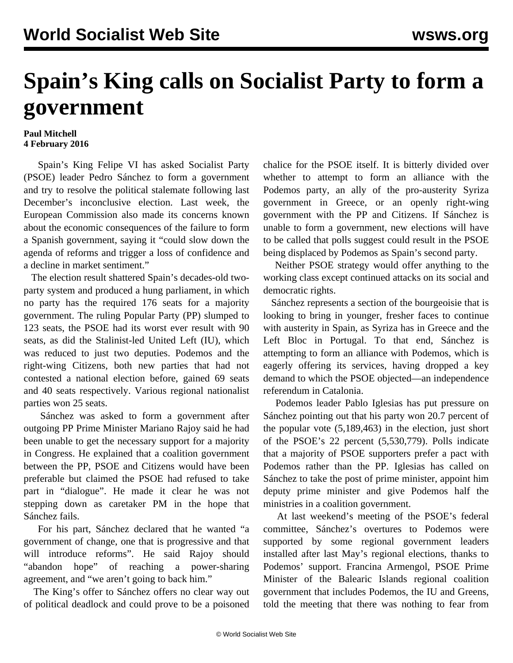## **Spain's King calls on Socialist Party to form a government**

## **Paul Mitchell 4 February 2016**

 Spain's King Felipe VI has asked Socialist Party (PSOE) leader Pedro Sánchez to form a government and try to resolve the political stalemate following last December's inconclusive election. Last week, the European Commission also made its concerns known about the economic consequences of the failure to form a Spanish government, saying it "could slow down the agenda of reforms and trigger a loss of confidence and a decline in market sentiment."

 The election result shattered Spain's decades-old twoparty system and produced a hung parliament, in which no party has the required 176 seats for a majority government. The ruling Popular Party (PP) slumped to 123 seats, the PSOE had its worst ever result with 90 seats, as did the Stalinist-led United Left (IU), which was reduced to just two deputies. Podemos and the right-wing Citizens, both new parties that had not contested a national election before, gained 69 seats and 40 seats respectively. Various regional nationalist parties won 25 seats.

 Sánchez was asked to form a government after outgoing PP Prime Minister Mariano Rajoy said he had been unable to get the necessary support for a majority in Congress. He explained that a coalition government between the PP, PSOE and Citizens would have been preferable but claimed the PSOE had refused to take part in "dialogue". He made it clear he was not stepping down as caretaker PM in the hope that Sánchez fails.

 For his part, Sánchez declared that he wanted "a government of change, one that is progressive and that will introduce reforms". He said Rajoy should "abandon hope" of reaching a power-sharing agreement, and "we aren't going to back him."

 The King's offer to Sánchez offers no clear way out of political deadlock and could prove to be a poisoned chalice for the PSOE itself. It is bitterly divided over whether to attempt to form an alliance with the Podemos party, an ally of the pro-austerity Syriza government in Greece, or an openly right-wing government with the PP and Citizens. If Sánchez is unable to form a government, new elections will have to be called that polls suggest could result in the PSOE being displaced by Podemos as Spain's second party.

 Neither PSOE strategy would offer anything to the working class except continued attacks on its social and democratic rights.

 Sánchez represents a section of the bourgeoisie that is looking to bring in younger, fresher faces to continue with austerity in Spain, as Syriza has in Greece and the Left Bloc in Portugal. To that end, Sánchez is attempting to form an alliance with Podemos, which is eagerly offering its services, having dropped a key demand to which the PSOE objected—an independence referendum in Catalonia.

 Podemos leader Pablo Iglesias has put pressure on Sánchez pointing out that his party won 20.7 percent of the popular vote (5,189,463) in the election, just short of the PSOE's 22 percent (5,530,779). Polls indicate that a majority of PSOE supporters prefer a pact with Podemos rather than the PP. Iglesias has called on Sánchez to take the post of prime minister, appoint him deputy prime minister and give Podemos half the ministries in a coalition government.

 At last weekend's meeting of the PSOE's federal committee, Sánchez's overtures to Podemos were supported by some regional government leaders installed after last May's regional elections, thanks to Podemos' support. Francina Armengol, PSOE Prime Minister of the Balearic Islands regional coalition government that includes Podemos, the IU and Greens, told the meeting that there was nothing to fear from